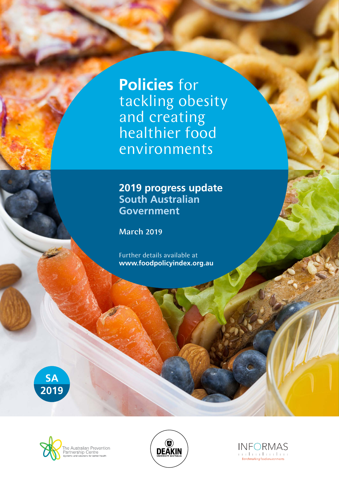**Policies** for tackling obesity and creating healthier food environments

## **2019 progress update South Australian Government**

March 2019

Further details available at **www.foodpolicyindex.org.au**







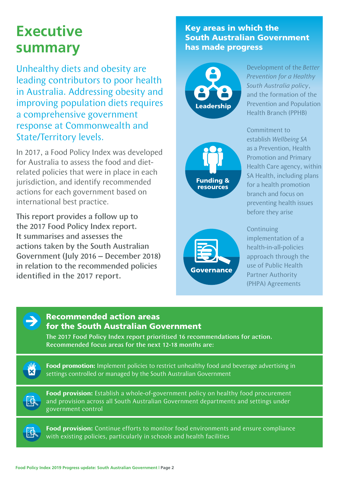# **Executive summary**

Unhealthy diets and obesity are leading contributors to poor health in Australia. Addressing obesity and improving population diets requires a comprehensive government response at Commonwealth and State/Territory levels.

In 2017, a Food Policy Index was developed for Australia to assess the food and dietrelated policies that were in place in each jurisdiction, and identify recommended actions for each government based on international best practice.

This report provides a follow up to the 2017 Food Policy Index report. It summarises and assesses the actions taken by the South Australian Government (July 2016 – December 2018) in relation to the recommended policies identified in the 2017 report.

### Key areas in which the South Australian Government has made progress



Development of the *Better Prevention for a Healthy South Australia policy*, and the formation of the Prevention and Population Health Branch (PPHB)



**Governance** 

Commitment to establish *Wellbeing SA* as a Prevention, Health Promotion and Primary Health Care agency, within SA Health, including plans for a health promotion branch and focus on preventing health issues before they arise

Continuing implementation of a health-in-all-policies approach through the use of Public Health Partner Authority (PHPA) Agreements



### Recommended action areas for the South Australian Government

The 2017 Food Policy Index report prioritised 16 recommendations for action. Recommended focus areas for the next 12-18 months are:

**Food promotion:** Implement policies to restrict unhealthy food and beverage advertising in settings controlled or managed by the South Australian Government

**ER** 

**Food provision:** Establish a whole-of-government policy on healthy food procurement and provision across all South Australian Government departments and settings under government control

**EX** 

**Food provision:** Continue efforts to monitor food environments and ensure compliance with existing policies, particularly in schools and health facilities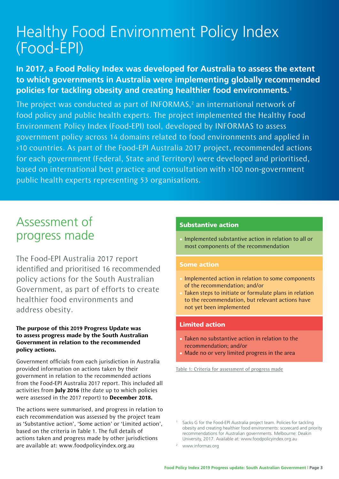# Healthy Food Environment Policy Index (Food-EPI)

### **In 2017, a Food Policy Index was developed for Australia to assess the extent to which governments in Australia were implementing globally recommended policies for tackling obesity and creating healthier food environments.1**

The project was conducted as part of INFORMAS, $<sup>2</sup>$  an international network of</sup> food policy and public health experts. The project implemented the Healthy Food Environment Policy Index (Food-EPI) tool, developed by INFORMAS to assess government policy across 14 domains related to food environments and applied in >10 countries. As part of the Food-EPI Australia 2017 project, recommended actions for each government (Federal, State and Territory) were developed and prioritised, based on international best practice and consultation with >100 non-government public health experts representing 53 organisations.

## Assessment of progress made

The Food-EPI Australia 2017 report identified and prioritised 16 recommended policy actions for the South Australian Government, as part of efforts to create healthier food environments and address obesity.

#### **The purpose of this 2019 Progress Update was to assess progress made by the South Australian Government in relation to the recommended policy actions.**

Government officials from each jurisdiction in Australia provided information on actions taken by their government in relation to the recommended actions from the Food-EPI Australia 2017 report. This included all activities from **July 2016** (the date up to which policies were assessed in the 2017 report) to **December 2018.**

The actions were summarised, and progress in relation to each recommendation was assessed by the project team as 'Substantive action', 'Some action' or 'Limited action', based on the criteria in Table 1. The full details of actions taken and progress made by other jurisdictions are available at: www.foodpolicyindex.org.au

#### Substantive action

• Implemented substantive action in relation to all or most components of the recommendation

#### Some action

- Implemented action in relation to some components of the recommendation; and/or
- Taken steps to initiate or formulate plans in relation to the recommendation, but relevant actions have not yet been implemented

#### Limited action

- Taken no substantive action in relation to the recommendation; and/or
- Made no or very limited progress in the area

Table 1: Criteria for assessment of progress made

Sacks G for the Food-EPI Australia project team. Policies for tackling obesity and creating healthier food environments: scorecard and priority recommendations for Australian governments. Melbourne: Deakin University, 2017. Available at: www.foodpolicyindex.org.au

<sup>2</sup> www.informas.org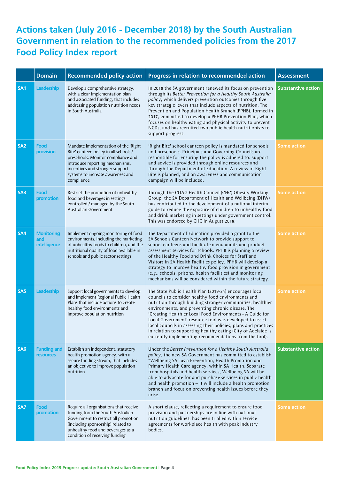## **Actions taken (July 2016 - December 2018) by the South Australian Government in relation to the recommended policies from the 2017 Food Policy Index report**

|                 | <b>Domain</b>                            | <b>Recommended policy action</b>                                                                                                                                                                                                             | Progress in relation to recommended action                                                                                                                                                                                                                                                                                                                                                                                                                                                                                                             | <b>Assessment</b>         |
|-----------------|------------------------------------------|----------------------------------------------------------------------------------------------------------------------------------------------------------------------------------------------------------------------------------------------|--------------------------------------------------------------------------------------------------------------------------------------------------------------------------------------------------------------------------------------------------------------------------------------------------------------------------------------------------------------------------------------------------------------------------------------------------------------------------------------------------------------------------------------------------------|---------------------------|
| SA <sub>1</sub> | <b>Leadership</b>                        | Develop a comprehensive strategy,<br>with a clear implementation plan<br>and associated funding, that includes<br>addressing population nutrition needs<br>in South Australia                                                                | In 2018 the SA government renewed its focus on prevention<br>through its Better Prevention for a Healthy South Australia<br>policy, which delivers prevention outcomes through five<br>key strategic levers that include aspects of nutrition. The<br>Prevention and Population Health Branch (PPHB), formed in<br>2017, committed to develop a PPHB Prevention Plan, which<br>focuses on healthy eating and physical activity to prevent<br>NCDs, and has recruited two public health nutritionists to<br>support progress.                           | <b>Substantive action</b> |
| SA <sub>2</sub> | Food<br>provision                        | Mandate implementation of the 'Right<br>Bite' canteen policy in all schools /<br>preschools. Monitor compliance and<br>introduce reporting mechanisms,<br>incentives and stronger support<br>systems to increase awareness and<br>compliance | 'Right Bite' school canteen policy is mandated for schools<br>and preschools. Principals and Governing Councils are<br>responsible for ensuring the policy is adhered to. Support<br>and advice is provided through online resources and<br>through the Department of Education. A review of Right<br>Bite is planned, and an awareness and communication<br>campaign will be included.                                                                                                                                                                | <b>Some action</b>        |
| SA <sub>3</sub> | Food<br>promotion                        | Restrict the promotion of unhealthy<br>food and beverages in settings<br>controlled / managed by the South<br>Australian Government                                                                                                          | Through the COAG Health Council (CHC) Obesity Working<br>Group, the SA Department of Health and Wellbeing (DHW)<br>has contributed to the development of a national interim<br>guide to reduce the exposure of children to unhealthy food<br>and drink marketing in settings under government control.<br>This was endorsed by CHC in August 2018.                                                                                                                                                                                                     | <b>Some action</b>        |
| SA4             | <b>Monitoring</b><br>and<br>intelligence | Implement ongoing monitoring of food<br>environments, including the marketing<br>of unhealthy foods to children, and the<br>nutritional quality of food available in<br>schools and public sector settings                                   | The Department of Education provided a grant to the<br>SA Schools Canteen Network to provide support to<br>school canteens and facilitate menu audits and product<br>assessment services for schools. PPHB is planning a review<br>of the Healthy Food and Drink Choices for Staff and<br>Visitors in SA Health Facilities policy. PPHB will develop a<br>strategy to improve healthy food provision in government<br>(e.g., schools, prisons, health facilities) and monitoring<br>mechanisms will be considered within the future strategy.          | <b>Some action</b>        |
| SA <sub>5</sub> | <b>Leadership</b>                        | Support local governments to develop<br>and implement Regional Public Health<br>Plans that include actions to create<br>healthy food environments and<br>improve population nutrition                                                        | The State Public Health Plan (2019-24) encourages local<br>councils to consider healthy food environments and<br>nutrition through building stronger communities, healthier<br>environments, and preventing chronic disease. The<br>'Creating Healthier Local Food Environments - A Guide for<br>Local Government' resource tool was developed to assist<br>local councils in assessing their policies, plans and practices<br>in relation to supporting healthy eating (City of Adelaide is<br>currently implementing recommendations from the tool). | <b>Some action</b>        |
| SA <sub>6</sub> | <b>Funding and</b><br>resources          | Establish an independent, statutory<br>health promotion agency, with a<br>secure funding stream, that includes<br>an objective to improve population<br>nutrition                                                                            | Under the Better Prevention for a Healthy South Australia<br>policy, the new SA Government has committed to establish<br>"Wellbeing SA" as a Prevention, Health Promotion and<br>Primary Health Care agency, within SA Health. Separate<br>from hospitals and health services, Wellbeing SA will be<br>able to advocate for and purchase services in public health<br>and health promotion - it will include a health promotion<br>branch and focus on preventing health issues before they<br>arise.                                                  | Substantive action        |
| SA7             | Food<br>promotion                        | Require all organisations that receive<br>funding from the South Australian<br>Government to restrict all promotion<br>(including sponsorship) related to<br>unhealthy food and beverages as a<br>condition of receiving funding             | A short clause, reflecting a requirement to ensure food<br>provision and partnerships are in line with national<br>nutrition guidelines, has been trialled within service<br>agreements for workplace health with peak industry<br>bodies.                                                                                                                                                                                                                                                                                                             | <b>Some action</b>        |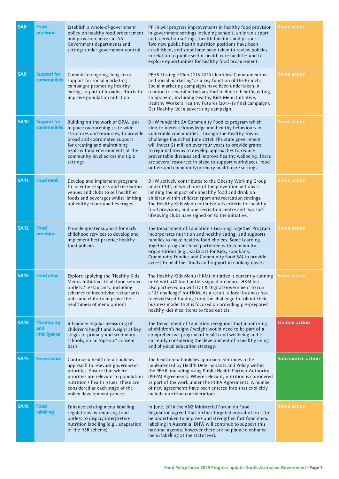| SA <sub>8</sub> | <b>Food</b><br>provision                 | Establish a whole-of-government<br>policy on healthy food procurement<br>and provision across all SA<br>Government departments and<br>settings under government control                                                                                          | PPHB will progress improvements in healthy food provision<br>in government settings including schools, children's sport<br>and recreation settings, health facilities and prisons.<br>Two new public health nutrition positions have been<br>established, and steps have been taken to review policies<br>in relation to public sector health care facilities and to<br>explore opportunities for healthy food procurement.                                                                                               | <b>Some action</b>        |
|-----------------|------------------------------------------|------------------------------------------------------------------------------------------------------------------------------------------------------------------------------------------------------------------------------------------------------------------|---------------------------------------------------------------------------------------------------------------------------------------------------------------------------------------------------------------------------------------------------------------------------------------------------------------------------------------------------------------------------------------------------------------------------------------------------------------------------------------------------------------------------|---------------------------|
| SA <sub>9</sub> | <b>Support for</b><br>communities        | Commit to ongoing, long-term<br>support for social marketing<br>campaigns promoting healthy<br>eating, as part of broader efforts to<br>improve population nutrition                                                                                             | PPHB Strategic Plan 2018-2020 identifies 'Communication<br>and social marketing' as a key function of the Branch.<br>Social marketing campaigns have been undertaken in<br>relation to several initiatives that include a healthy eating<br>component, including Healthy Kids Menu Initiative,<br>Healthy Workers Healthy Futures (2017-18 final campaign),<br>Get Healthy (2018 advertising campaign).                                                                                                                   | <b>Some action</b>        |
| <b>SA10</b>     | <b>Support for</b><br>communities        | Building on the work of OPAL, put<br>in place overarching state-wide<br>structures and resources, to provide<br>broad and coordinated support<br>for creating and maintaining<br>healthy food environments at the<br>community level across multiple<br>settings | DHW funds the SA Community Foodies program which<br>aims to increase knowledge and healthy behaviours in<br>vulnerable communities. Through the Healthy Towns<br>Challenge (launched June 2018), the state government<br>will invest \$1 million over four years to provide grants<br>to regional towns to develop approaches to reduce<br>preventable diseases and improve healthy wellbeing. There<br>are several resources in place to support workplaces, food<br>outlets and community/primary health care settings. | <b>Some action</b>        |
| <b>SA11</b>     | <b>Food retail</b>                       | Develop and implement programs<br>to incentivise sports and recreation<br>venues and clubs to sell healthier<br>foods and beverages whilst limiting<br>unhealthy foods and beverages                                                                             | DHW actively contributes to the Obesity Working Group<br>under CHC, of which one of the prevention actions is<br>limiting the impact of unhealthy food and drink on<br>children within children sport and recreation settings.<br>The Healthy Kids Menu initiative sets criteria for healthy<br>food provision, and one recreation centre and two surf<br>lifesaving clubs have signed on to the initiative.                                                                                                              | <b>Some action</b>        |
| <b>SA12</b>     | Food<br>provision                        | Provide greater support for early<br>childhood services to develop and<br>implement best practice healthy<br>food policies                                                                                                                                       | The Department of Education's Learning Together Program<br>incorporates nutrition and healthy eating, and supports<br>families to make healthy food choices. Some Learning<br>Together programs have partnered with community<br>organisations (e.g., KickStart for Kids, Foodbank,<br>Community Foodies and Community Food SA) to provide<br>access to healthier foods and support in cooking meals.                                                                                                                     | <b>Some action</b>        |
| <b>SA13</b>     | <b>Food retail</b>                       | Explore applying the 'Healthy Kids<br>Menus Initiative' to all food service<br>outlets / restaurants, including<br>schemes to incentivise restaurants,<br>pubs and clubs to improve the<br>healthiness of menu options                                           | The Healthy Kids Menu (HKM) initiative is currently running<br>in SA with >40 food outlets signed on board. HKM has<br>also partnered up with ICT & Digital Government to run<br>a 'D3 challenge' for HKM. As a result, a local business has<br>received seed funding from the challenge to rollout their<br>business model that is focused on providing pre-prepared<br>healthy kids meal items to food outlets.                                                                                                         | <b>Some action</b>        |
| <b>SA14</b>     | <b>Monitoring</b><br>and<br>intelligence | Introduce regular measuring of<br>children's height and weight at key<br>stages of primary and secondary<br>schools, on an 'opt-out' consent<br>basis                                                                                                            | The Department of Education recognises that monitoring<br>of children's height / weight would need to be part of a<br>comprehensive program of health and wellbeing and is<br>currently considering the development of a healthy living<br>and physical education strategy.                                                                                                                                                                                                                                               | <b>Limited action</b>     |
| <b>SA15</b>     | Governance                               | Continue a health-in-all-policies<br>approach to relevant government<br>priorities. Ensure that where<br>priorities are relevant to population<br>nutrition / health issues, these are<br>considered at each stage of the<br>policy development process          | The health-in-all-policies approach continues to be<br>implemented by Health Determinants and Policy within<br>the PPHB, including using Public Health Partner Authority<br>(PHPA) Agreements. Where relevant, nutrition is considered<br>as part of the work under the PHPA Agreements. A number<br>of new agreements have been entered into that explicitly<br>include nutrition considerations.                                                                                                                        | <b>Substantive action</b> |
| <b>SA16</b>     | Food<br>labelling                        | Enhance existing menu labelling<br>regulations by requiring food<br>outlets to display interpretive<br>nutrition labelling (e.g., adaptation<br>of the HSR scheme)                                                                                               | In June, 2018 the ANZ Ministerial Forum on Food<br>Regulation agreed that further targeted consultation is to<br>be undertaken to improve and strengthen fast food menu<br>labelling in Australia. DHW will continue to support this<br>national agenda, however there are no plans to enhance<br>menu labelling at the state level.                                                                                                                                                                                      | <b>Some action</b>        |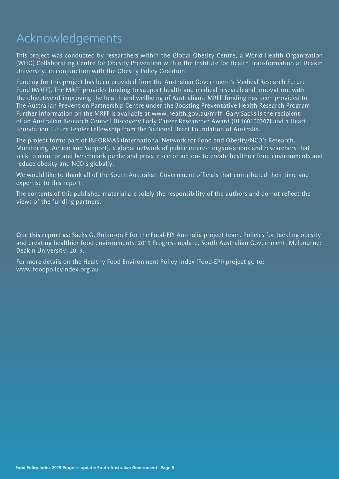# Acknowledgements

This project was conducted by researchers within the Global Obesity Centre, a World Health Organization (WHO) Collaborating Centre for Obesity Prevention within the Institute for Health Transformation at Deakin University, in conjunction with the Obesity Policy Coalition.

Funding for this project has been provided from the Australian Government's Medical Research Future Fund (MRFF). The MRFF provides funding to support health and medical research and innovation, with the objective of improving the health and wellbeing of Australians. MRFF funding has been provided to The Australian Prevention Partnership Centre under the Boosting Preventative Health Research Program. Further information on the MRFF is available at www.health.gov.au/mrff. Gary Sacks is the recipient of an Australian Research Council Discovery Early Career Researcher Award (DE160100307) and a Heart Foundation Future Leader Fellowship from the National Heart Foundation of Australia.

The project forms part of INFORMAS (International Network for Food and Obesity/NCD's Research, Monitoring, Action and Support), a global network of public interest organisations and researchers that seek to monitor and benchmark public and private sector actions to create healthier food environments and reduce obesity and NCD's globally.

We would like to thank all of the South Australian Government officials that contributed their time and expertise to this report.

The contents of this published material are solely the responsibility of the authors and do not reflect the views of the funding partners.

Cite this report as: Sacks G, Robinson E for the Food-EPI Australia project team. Policies for tackling obesity and creating healthier food environments: 2019 Progress update, South Australian Government. Melbourne: Deakin University, 2019.

For more details on the Healthy Food Environment Policy Index (Food-EPI) project go to: www.foodpolicyindex.org.au